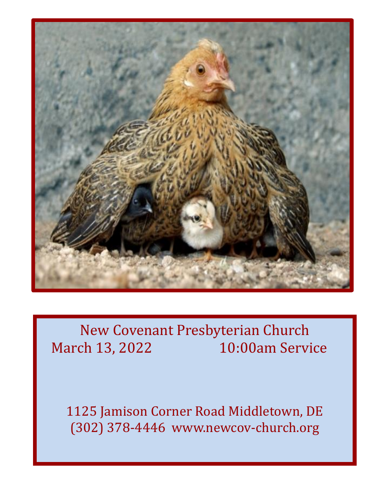

New Covenant Presbyterian Church March 13, 2022 10:00am Service

1125 Jamison Corner Road Middletown, DE (302) 378-4446 www.newcov-church.org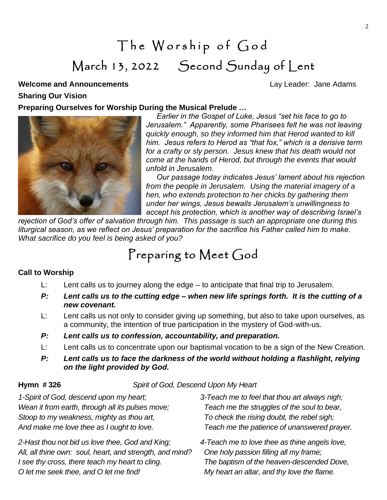# The Worship of God March 13, 2022 Second Sunday of Lent

## **Welcome and Announcements**<br> **Welcome and Announcements Sharing Our Vision**

## **Preparing Ourselves for Worship During the Musical Prelude …**



 *Earlier in the Gospel of Luke, Jesus "set his face to go to Jerusalem." Apparently, some Pharisees felt he was not leaving quickly enough, so they informed him that Herod wanted to kill him. Jesus refers to Herod as "that fox," which is a derisive term for a crafty or sly person. Jesus knew that his death would not come at the hands of Herod, but through the events that would unfold in Jerusalem.* 

 *Our passage today indicates Jesus' lament about his rejection from the people in Jerusalem. Using the material imagery of a hen, who extends protection to her chicks by gathering them under her wings, Jesus bewails Jerusalem's unwillingness to accept his protection, which is another way of describing Israel's* 

*rejection of God's offer of salvation through him. This passage is such an appropriate one during this liturgical season, as we reflect on Jesus' preparation for the sacrifice his Father called him to make. What sacrifice do you feel is being asked of you?*

# Preparing to Meet God

## **Call to Worship**

- L: Lent calls us to journey along the edge to anticipate that final trip to Jerusalem.
- *P: Lent calls us to the cutting edge – when new life springs forth. It is the cutting of a new covenant.*
- L: Lent calls us not only to consider giving up something, but also to take upon ourselves, as a community, the intention of true participation in the mystery of God-with-us.

## *P: Lent calls us to confession, accountability, and preparation.*

- L: Lent calls us to concentrate upon our baptismal vocation to be a sign of the New Creation.
- *P: Lent calls us to face the darkness of the world without holding a flashlight, relying on the light provided by God.*

**Hymn # 326** *Spirit of God, Descend Upon My Heart*

| 1-Spirit of God, descend upon my heart;          | 3-Teach me to feel t |
|--------------------------------------------------|----------------------|
| Wean it from earth, through all its pulses move; | Teach me the strug   |
| Stoop to my weakness, mighty as thou art,        | To check the rising  |
| And make me love thee as I ought to love.        | Teach me the patie   |
|                                                  |                      |

*2-Hast thou not bid us love thee, God and King; 4-Teach me to love thee as thine angels love, All, all thine own: soul, heart, and strength, and mind? One holy passion filling all my frame; I see thy cross, there teach my heart to cling. The baptism of the heaven-descended Dove, O let me seek thee, and O let me find! My heart an altar, and thy love the flame.*

*1-Spirit of God, descend upon my heart; 3-Teach me to feel that thou art always nigh; Wean it from earth, through all its pulses move; Teach me the struggles of the soul to bear, A Stoubt, the rebel sigh;* and *rebel sigh*; *And make me love thee as I ought to love. Teach me the patience of unanswered prayer.*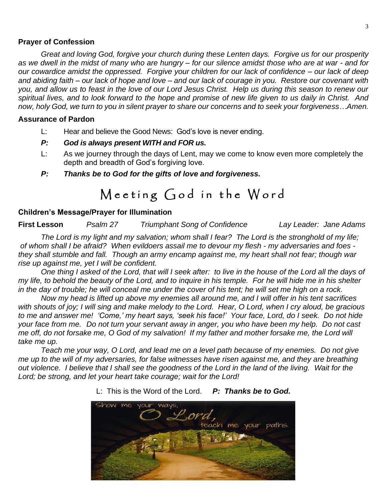#### **Prayer of Confession**

*Great and loving God, forgive your church during these Lenten days. Forgive us for our prosperity as we dwell in the midst of many who are hungry – for our silence amidst those who are at war - and for our cowardice amidst the oppressed. Forgive your children for our lack of confidence – our lack of deep and abiding faith – our lack of hope and love – and our lack of courage in you. Restore our covenant with you, and allow us to feast in the love of our Lord Jesus Christ. Help us during this season to renew our spiritual lives, and to look forward to the hope and promise of new life given to us daily in Christ. And now, holy God, we turn to you in silent prayer to share our concerns and to seek your forgiveness…Amen.*

#### **Assurance of Pardon**

- L: Hear and believe the Good News: God's love is never ending.
- *P: God is always present WITH and FOR us.*
- L: As we journey through the days of Lent, may we come to know even more completely the depth and breadth of God's forgiving love.
- *P: Thanks be to God for the gifts of love and forgiveness.*

## Meeting God in the Word

#### **Children's Message/Prayer for Illumination**

**First Lesson** *Psalm 27 Triumphant Song of Confidence Lay Leader: Jane Adams*

*The Lord is my light and my salvation; whom shall I fear? The Lord is the stronghold of my life; of whom shall I be afraid? When evildoers assail me to devour my flesh - my adversaries and foes they shall stumble and fall. Though an army encamp against me, my heart shall not fear; though war rise up against me, yet I will be confident.*

*One thing I asked of the Lord, that will I seek after: to live in the house of the Lord all the days of my life, to behold the beauty of the Lord, and to inquire in his temple. For he will hide me in his shelter in the day of trouble; he will conceal me under the cover of his tent; he will set me high on a rock.*

*Now my head is lifted up above my enemies all around me, and I will offer in his tent sacrifices with shouts of joy; I will sing and make melody to the Lord. Hear, O Lord, when I cry aloud, be gracious to me and answer me! 'Come,' my heart says, 'seek his face!' Your face, Lord, do I seek. Do not hide your face from me. Do not turn your servant away in anger, you who have been my help. Do not cast me off, do not forsake me, O God of my salvation! If my father and mother forsake me, the Lord will take me up.*

*Teach me your way, O Lord, and lead me on a level path because of my enemies. Do not give me up to the will of my adversaries, for false witnesses have risen against me, and they are breathing out violence. I believe that I shall see the goodness of the Lord in the land of the living. Wait for the Lord; be strong, and let your heart take courage; wait for the Lord!*



L: This is the Word of the Lord. *P: Thanks be to God.*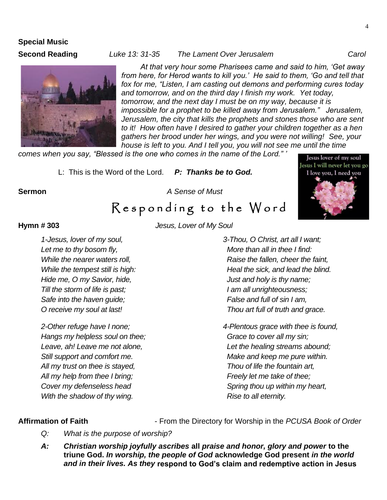# **Special Music**



#### **Second Reading** *Luke 13: 31-35 The Lament Over Jerusalem Carol*

 *At that very hour some Pharisees came and said to him, 'Get away from here, for Herod wants to kill you.' He said to them, 'Go and tell that fox for me, "Listen, I am casting out demons and performing cures today and tomorrow, and on the third day I finish my work. Yet today, tomorrow, and the next day I must be on my way, because it is impossible for a prophet to be killed away from Jerusalem." Jerusalem, Jerusalem, the city that kills the prophets and stones those who are sent to it! How often have I desired to gather your children together as a hen gathers her brood under her wings, and you were not willing! See, your house is left to you. And I tell you, you will not see me until the time* 

*comes when you say, "Blessed is the one who comes in the name of the Lord." '*

L: This is the Word of the Lord. *P: Thanks be to God.*

**Sermon** *A Sense of Must*

Responding to the Word



Let me to thy bosom fly, the match of the More than all in thee I find: *Hide me, O my Savior, hide, Just and holy is thy name; Till the storm of life is past; I am all unrighteousness;* Safe into the haven guide; False and full of sin I am,

*Hangs my helpless soul on thee;* Grace to cover all my sin; *All my trust on thee is stayed, Thou of life the fountain art,* All my help from thee I bring; https://www.mateur.com/enterpreferent/induction-take of thee; *Cover my defenseless head Spring thou up within my heart, With the shadow of thy wing.* The state of the state of the Rise to all eternity.

**Hymn # 303** *Jesus, Lover of My Soul*

*1-Jesus, lover of my soul, 3-Thou, O Christ, art all I want; While the nearer waters roll,*  $R$ *aise the fallen, cheer the faint, While the tempest still is high:*  $Hear$   $Heal$  the sick, and lead the blind. *O receive my soul at last! Thou art full of truth and grace.*

*2-Other refuge have I none; 4-Plentous grace with thee is found,* Leave, ah! Leave me not alone, the mannion of the healing streams abound; *Still support and comfort me. Make and keep me pure within.*

Affirmation of Faith **- From the Directory for Worship in the** *PCUSA Book of Order* 

- *Q: What is the purpose of worship?*
- *A: Christian worship joyfully ascribes* **all** *praise and honor, glory and power* **to the triune God.** *In worship, the people of God* **acknowledge God present** *in the world and in their lives. As they* **respond to God's claim and redemptive action in Jesus**